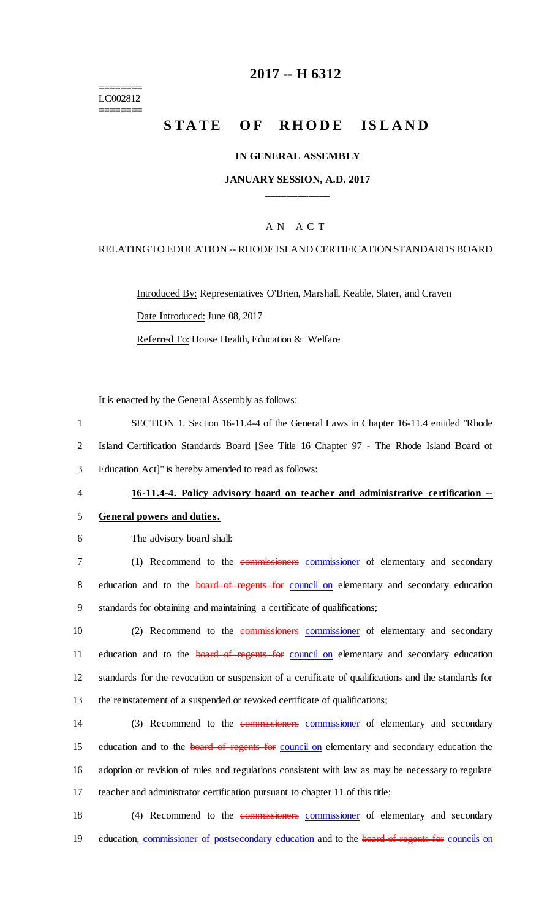======== LC002812 ========

## **2017 -- H 6312**

# **STATE OF RHODE ISLAND**

### **IN GENERAL ASSEMBLY**

## **JANUARY SESSION, A.D. 2017 \_\_\_\_\_\_\_\_\_\_\_\_**

## A N A C T

### RELATING TO EDUCATION -- RHODE ISLAND CERTIFICATION STANDARDS BOARD

Introduced By: Representatives O'Brien, Marshall, Keable, Slater, and Craven Date Introduced: June 08, 2017 Referred To: House Health, Education & Welfare

It is enacted by the General Assembly as follows:

1 SECTION 1. Section 16-11.4-4 of the General Laws in Chapter 16-11.4 entitled "Rhode 2 Island Certification Standards Board [See Title 16 Chapter 97 - The Rhode Island Board of 3 Education Act]" is hereby amended to read as follows:

## 4 **16-11.4-4. Policy advisory board on teacher and administrative certification --**

#### 5 **General powers and duties.**

6 The advisory board shall:

7 (1) Recommend to the commissioners commissioner of elementary and secondary 8 education and to the **board of regents for** council on elementary and secondary education 9 standards for obtaining and maintaining a certificate of qualifications;

10 (2) Recommend to the commissioners commissioner of elementary and secondary 11 education and to the **board of regents for council on** elementary and secondary education 12 standards for the revocation or suspension of a certificate of qualifications and the standards for 13 the reinstatement of a suspended or revoked certificate of qualifications;

14 (3) Recommend to the commissioners commissioner of elementary and secondary 15 education and to the **board of regents for** council on elementary and secondary education the 16 adoption or revision of rules and regulations consistent with law as may be necessary to regulate 17 teacher and administrator certification pursuant to chapter 11 of this title;

18 (4) Recommend to the commissioners commissioner of elementary and secondary 19 education, commissioner of postsecondary education and to the board of regents for councils on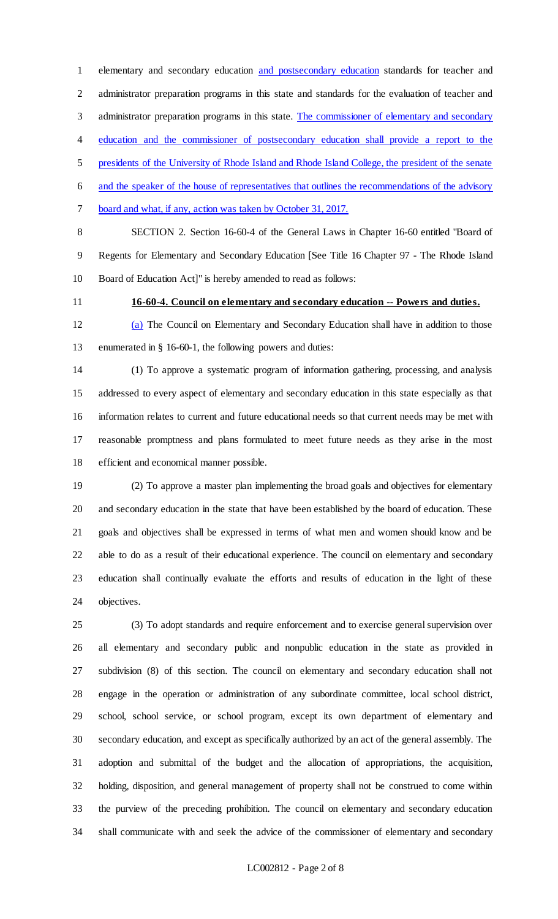elementary and secondary education and postsecondary education standards for teacher and administrator preparation programs in this state and standards for the evaluation of teacher and 3 administrator preparation programs in this state. The commissioner of elementary and secondary education and the commissioner of postsecondary education shall provide a report to the presidents of the University of Rhode Island and Rhode Island College, the president of the senate and the speaker of the house of representatives that outlines the recommendations of the advisory board and what, if any, action was taken by October 31, 2017.

 SECTION 2. Section 16-60-4 of the General Laws in Chapter 16-60 entitled "Board of Regents for Elementary and Secondary Education [See Title 16 Chapter 97 - The Rhode Island Board of Education Act]" is hereby amended to read as follows:

# **16-60-4. Council on elementary and secondary education -- Powers and duties.**

 (a) The Council on Elementary and Secondary Education shall have in addition to those enumerated in § 16-60-1, the following powers and duties:

 (1) To approve a systematic program of information gathering, processing, and analysis addressed to every aspect of elementary and secondary education in this state especially as that information relates to current and future educational needs so that current needs may be met with reasonable promptness and plans formulated to meet future needs as they arise in the most efficient and economical manner possible.

 (2) To approve a master plan implementing the broad goals and objectives for elementary and secondary education in the state that have been established by the board of education. These goals and objectives shall be expressed in terms of what men and women should know and be able to do as a result of their educational experience. The council on elementary and secondary education shall continually evaluate the efforts and results of education in the light of these objectives.

 (3) To adopt standards and require enforcement and to exercise general supervision over all elementary and secondary public and nonpublic education in the state as provided in subdivision (8) of this section. The council on elementary and secondary education shall not engage in the operation or administration of any subordinate committee, local school district, school, school service, or school program, except its own department of elementary and secondary education, and except as specifically authorized by an act of the general assembly. The adoption and submittal of the budget and the allocation of appropriations, the acquisition, holding, disposition, and general management of property shall not be construed to come within the purview of the preceding prohibition. The council on elementary and secondary education shall communicate with and seek the advice of the commissioner of elementary and secondary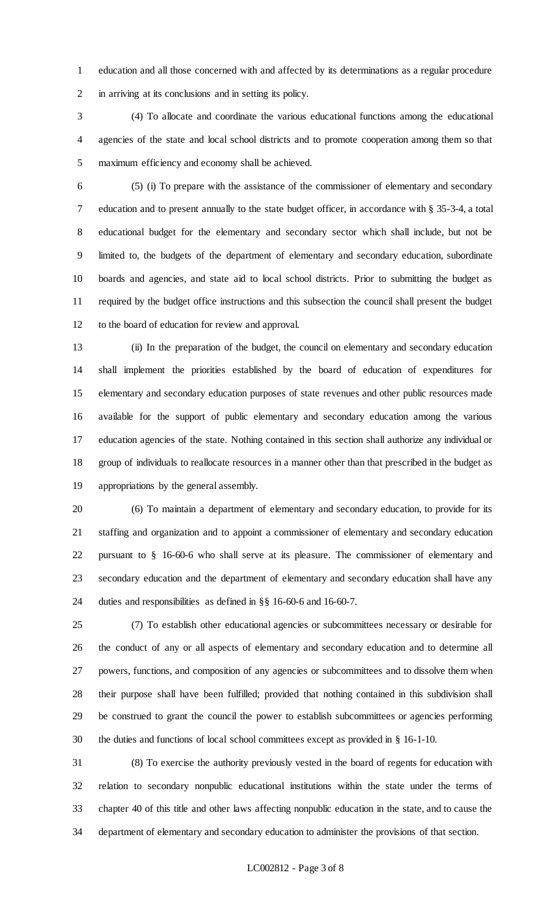education and all those concerned with and affected by its determinations as a regular procedure in arriving at its conclusions and in setting its policy.

 (4) To allocate and coordinate the various educational functions among the educational agencies of the state and local school districts and to promote cooperation among them so that maximum efficiency and economy shall be achieved.

 (5) (i) To prepare with the assistance of the commissioner of elementary and secondary education and to present annually to the state budget officer, in accordance with § 35-3-4, a total educational budget for the elementary and secondary sector which shall include, but not be limited to, the budgets of the department of elementary and secondary education, subordinate boards and agencies, and state aid to local school districts. Prior to submitting the budget as required by the budget office instructions and this subsection the council shall present the budget to the board of education for review and approval.

 (ii) In the preparation of the budget, the council on elementary and secondary education shall implement the priorities established by the board of education of expenditures for elementary and secondary education purposes of state revenues and other public resources made available for the support of public elementary and secondary education among the various education agencies of the state. Nothing contained in this section shall authorize any individual or group of individuals to reallocate resources in a manner other than that prescribed in the budget as appropriations by the general assembly.

 (6) To maintain a department of elementary and secondary education, to provide for its staffing and organization and to appoint a commissioner of elementary and secondary education pursuant to § 16-60-6 who shall serve at its pleasure. The commissioner of elementary and secondary education and the department of elementary and secondary education shall have any duties and responsibilities as defined in §§ 16-60-6 and 16-60-7.

 (7) To establish other educational agencies or subcommittees necessary or desirable for the conduct of any or all aspects of elementary and secondary education and to determine all powers, functions, and composition of any agencies or subcommittees and to dissolve them when their purpose shall have been fulfilled; provided that nothing contained in this subdivision shall be construed to grant the council the power to establish subcommittees or agencies performing the duties and functions of local school committees except as provided in § 16-1-10.

 (8) To exercise the authority previously vested in the board of regents for education with relation to secondary nonpublic educational institutions within the state under the terms of chapter 40 of this title and other laws affecting nonpublic education in the state, and to cause the department of elementary and secondary education to administer the provisions of that section.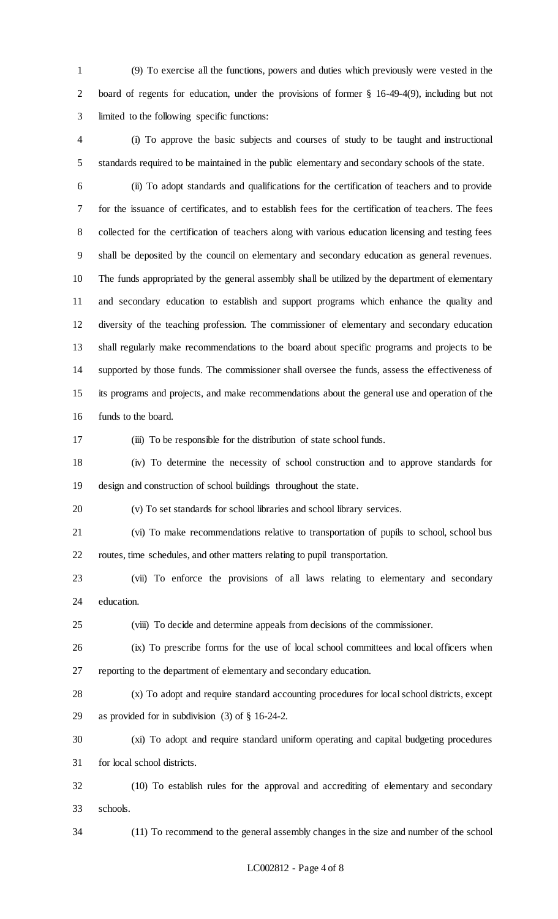(9) To exercise all the functions, powers and duties which previously were vested in the board of regents for education, under the provisions of former § 16-49-4(9), including but not limited to the following specific functions:

 (i) To approve the basic subjects and courses of study to be taught and instructional standards required to be maintained in the public elementary and secondary schools of the state.

 (ii) To adopt standards and qualifications for the certification of teachers and to provide for the issuance of certificates, and to establish fees for the certification of teachers. The fees collected for the certification of teachers along with various education licensing and testing fees shall be deposited by the council on elementary and secondary education as general revenues. The funds appropriated by the general assembly shall be utilized by the department of elementary and secondary education to establish and support programs which enhance the quality and diversity of the teaching profession. The commissioner of elementary and secondary education shall regularly make recommendations to the board about specific programs and projects to be supported by those funds. The commissioner shall oversee the funds, assess the effectiveness of its programs and projects, and make recommendations about the general use and operation of the funds to the board.

(iii) To be responsible for the distribution of state school funds.

 (iv) To determine the necessity of school construction and to approve standards for design and construction of school buildings throughout the state.

(v) To set standards for school libraries and school library services.

 (vi) To make recommendations relative to transportation of pupils to school, school bus routes, time schedules, and other matters relating to pupil transportation.

 (vii) To enforce the provisions of all laws relating to elementary and secondary education.

(viii) To decide and determine appeals from decisions of the commissioner.

 (ix) To prescribe forms for the use of local school committees and local officers when reporting to the department of elementary and secondary education.

 (x) To adopt and require standard accounting procedures for local school districts, except as provided for in subdivision (3) of § 16-24-2.

 (xi) To adopt and require standard uniform operating and capital budgeting procedures for local school districts.

 (10) To establish rules for the approval and accrediting of elementary and secondary schools.

(11) To recommend to the general assembly changes in the size and number of the school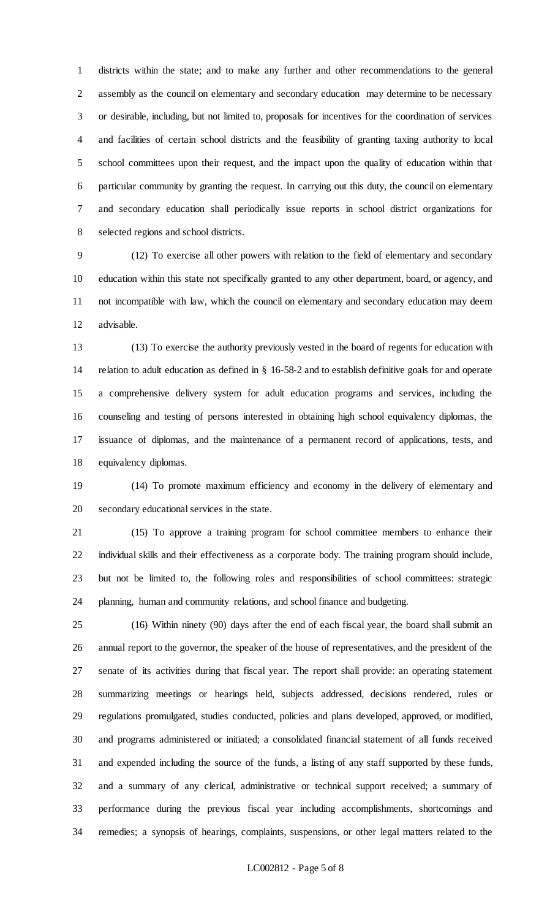districts within the state; and to make any further and other recommendations to the general assembly as the council on elementary and secondary education may determine to be necessary or desirable, including, but not limited to, proposals for incentives for the coordination of services and facilities of certain school districts and the feasibility of granting taxing authority to local school committees upon their request, and the impact upon the quality of education within that particular community by granting the request. In carrying out this duty, the council on elementary and secondary education shall periodically issue reports in school district organizations for selected regions and school districts.

 (12) To exercise all other powers with relation to the field of elementary and secondary education within this state not specifically granted to any other department, board, or agency, and not incompatible with law, which the council on elementary and secondary education may deem advisable.

 (13) To exercise the authority previously vested in the board of regents for education with relation to adult education as defined in § 16-58-2 and to establish definitive goals for and operate a comprehensive delivery system for adult education programs and services, including the counseling and testing of persons interested in obtaining high school equivalency diplomas, the issuance of diplomas, and the maintenance of a permanent record of applications, tests, and equivalency diplomas.

 (14) To promote maximum efficiency and economy in the delivery of elementary and secondary educational services in the state.

 (15) To approve a training program for school committee members to enhance their individual skills and their effectiveness as a corporate body. The training program should include, but not be limited to, the following roles and responsibilities of school committees: strategic planning, human and community relations, and school finance and budgeting.

 (16) Within ninety (90) days after the end of each fiscal year, the board shall submit an annual report to the governor, the speaker of the house of representatives, and the president of the senate of its activities during that fiscal year. The report shall provide: an operating statement summarizing meetings or hearings held, subjects addressed, decisions rendered, rules or regulations promulgated, studies conducted, policies and plans developed, approved, or modified, and programs administered or initiated; a consolidated financial statement of all funds received and expended including the source of the funds, a listing of any staff supported by these funds, and a summary of any clerical, administrative or technical support received; a summary of performance during the previous fiscal year including accomplishments, shortcomings and remedies; a synopsis of hearings, complaints, suspensions, or other legal matters related to the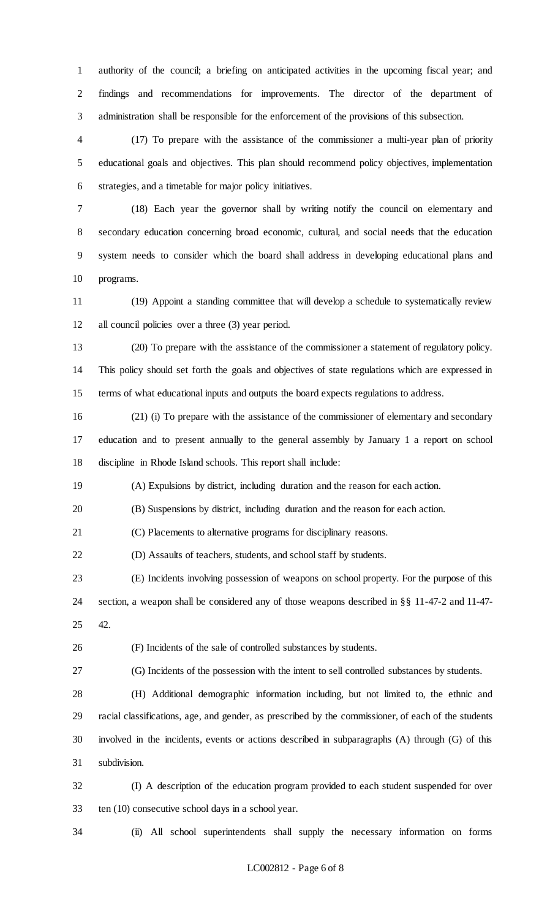authority of the council; a briefing on anticipated activities in the upcoming fiscal year; and findings and recommendations for improvements. The director of the department of administration shall be responsible for the enforcement of the provisions of this subsection.

 (17) To prepare with the assistance of the commissioner a multi-year plan of priority educational goals and objectives. This plan should recommend policy objectives, implementation strategies, and a timetable for major policy initiatives.

 (18) Each year the governor shall by writing notify the council on elementary and secondary education concerning broad economic, cultural, and social needs that the education system needs to consider which the board shall address in developing educational plans and programs.

 (19) Appoint a standing committee that will develop a schedule to systematically review all council policies over a three (3) year period.

 (20) To prepare with the assistance of the commissioner a statement of regulatory policy. This policy should set forth the goals and objectives of state regulations which are expressed in terms of what educational inputs and outputs the board expects regulations to address.

 (21) (i) To prepare with the assistance of the commissioner of elementary and secondary education and to present annually to the general assembly by January 1 a report on school discipline in Rhode Island schools. This report shall include:

(A) Expulsions by district, including duration and the reason for each action.

(B) Suspensions by district, including duration and the reason for each action.

(C) Placements to alternative programs for disciplinary reasons.

(D) Assaults of teachers, students, and school staff by students.

 (E) Incidents involving possession of weapons on school property. For the purpose of this section, a weapon shall be considered any of those weapons described in §§ 11-47-2 and 11-47- 42.

(F) Incidents of the sale of controlled substances by students.

(G) Incidents of the possession with the intent to sell controlled substances by students.

 (H) Additional demographic information including, but not limited to, the ethnic and racial classifications, age, and gender, as prescribed by the commissioner, of each of the students involved in the incidents, events or actions described in subparagraphs (A) through (G) of this subdivision.

 (I) A description of the education program provided to each student suspended for over ten (10) consecutive school days in a school year.

(ii) All school superintendents shall supply the necessary information on forms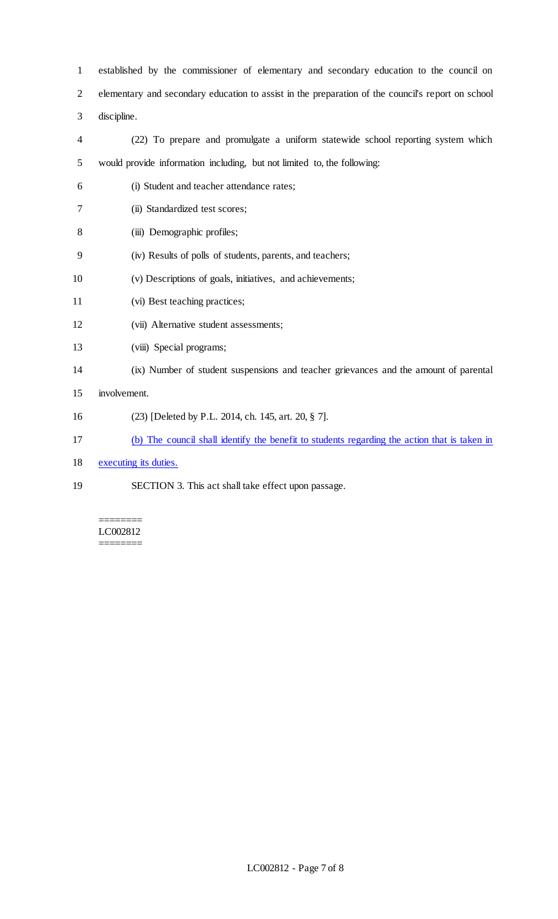established by the commissioner of elementary and secondary education to the council on elementary and secondary education to assist in the preparation of the council's report on school discipline.

- (22) To prepare and promulgate a uniform statewide school reporting system which would provide information including, but not limited to, the following:
- (i) Student and teacher attendance rates;
- (ii) Standardized test scores;
- 8 (iii) Demographic profiles;
- (iv) Results of polls of students, parents, and teachers;
- (v) Descriptions of goals, initiatives, and achievements;
- (vi) Best teaching practices;
- (vii) Alternative student assessments;
- 13 (viii) Special programs;
- (ix) Number of student suspensions and teacher grievances and the amount of parental
- involvement.
- (23) [Deleted by P.L. 2014, ch. 145, art. 20, § 7].
- (b) The council shall identify the benefit to students regarding the action that is taken in
- 18 executing its duties.
- SECTION 3. This act shall take effect upon passage.

======== LC002812 ========